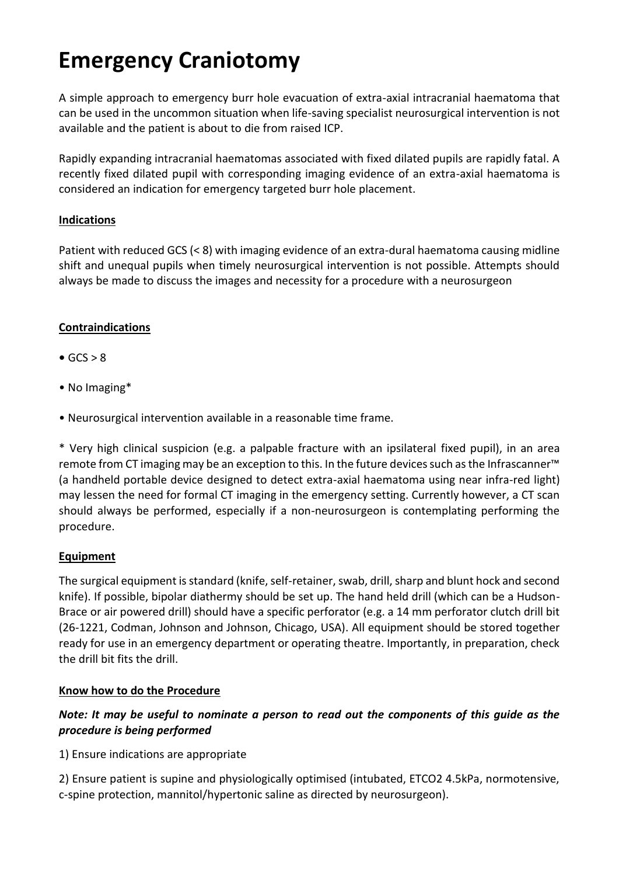# **Emergency Craniotomy**

A simple approach to emergency burr hole evacuation of extra-axial intracranial haematoma that can be used in the uncommon situation when life-saving specialist neurosurgical intervention is not available and the patient is about to die from raised ICP.

Rapidly expanding intracranial haematomas associated with fixed dilated pupils are rapidly fatal. A recently fixed dilated pupil with corresponding imaging evidence of an extra-axial haematoma is considered an indication for emergency targeted burr hole placement.

### **Indications**

Patient with reduced GCS (< 8) with imaging evidence of an extra-dural haematoma causing midline shift and unequal pupils when timely neurosurgical intervention is not possible. Attempts should always be made to discuss the images and necessity for a procedure with a neurosurgeon

## **Contraindications**

- $\bullet$  GCS  $> 8$
- No Imaging\*
- Neurosurgical intervention available in a reasonable time frame.

\* Very high clinical suspicion (e.g. a palpable fracture with an ipsilateral fixed pupil), in an area remote from CT imaging may be an exception to this. In the future devices such as the Infrascanner™ (a handheld portable device designed to detect extra-axial haematoma using near infra-red light) may lessen the need for formal CT imaging in the emergency setting. Currently however, a CT scan should always be performed, especially if a non-neurosurgeon is contemplating performing the procedure.

## **Equipment**

The surgical equipment is standard (knife, self-retainer, swab, drill, sharp and blunt hock and second knife). If possible, bipolar diathermy should be set up. The hand held drill (which can be a Hudson-Brace or air powered drill) should have a specific perforator (e.g. a 14 mm perforator clutch drill bit (26-1221, Codman, Johnson and Johnson, Chicago, USA). All equipment should be stored together ready for use in an emergency department or operating theatre. Importantly, in preparation, check the drill bit fits the drill.

#### **Know how to do the Procedure**

## *Note: It may be useful to nominate a person to read out the components of this guide as the procedure is being performed*

1) Ensure indications are appropriate

2) Ensure patient is supine and physiologically optimised (intubated, ETCO2 4.5kPa, normotensive, c-spine protection, mannitol/hypertonic saline as directed by neurosurgeon).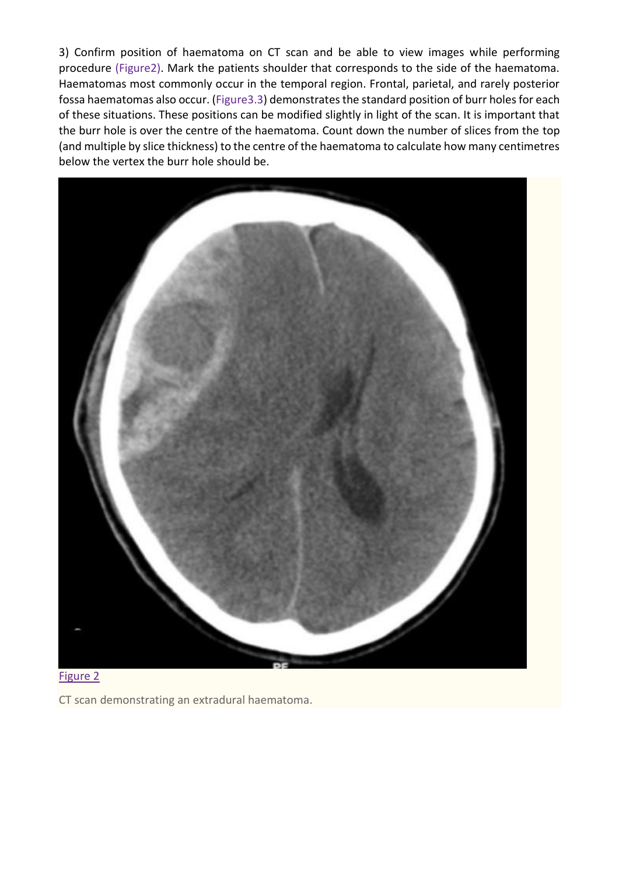3) Confirm position of haematoma on CT scan and be able to view images while performing procedure (Figure2). Mark the patients shoulder that corresponds to the side of the haematoma. Haematomas most commonly occur in the temporal region. Frontal, parietal, and rarely posterior fossa haematomas also occur. [\(Figure3.3\)](https://www.ncbi.nlm.nih.gov/pmc/articles/PMC3352313/figure/F3/) demonstrates the standard position of burr holes for each of these situations. These positions can be modified slightly in light of the scan. It is important that the burr hole is over the centre of the haematoma. Count down the number of slices from the top (and multiple by slice thickness) to the centre of the haematoma to calculate how many centimetres below the vertex the burr hole should be.





CT scan demonstrating an extradural haematoma.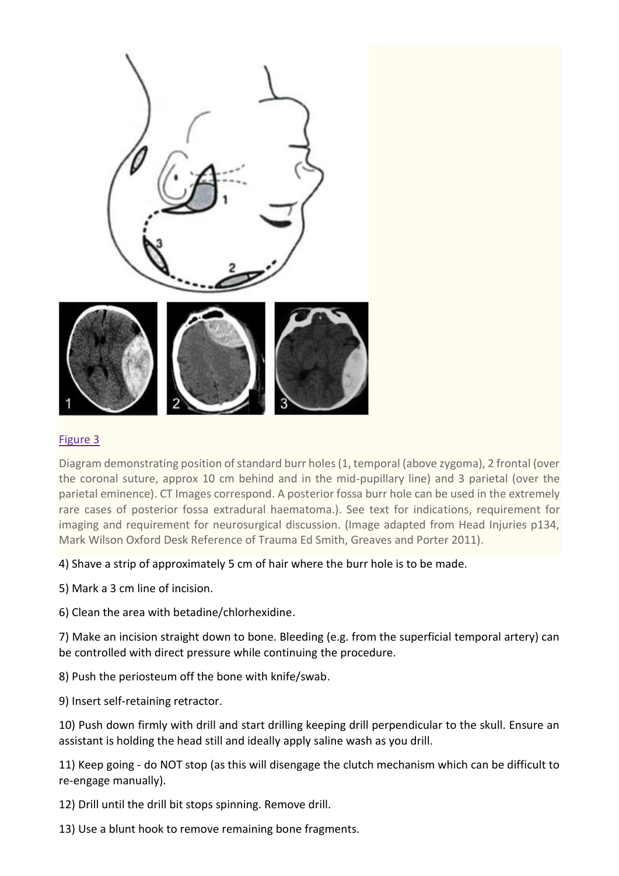

#### [Figure 3](https://www.ncbi.nlm.nih.gov/pmc/articles/PMC3352313/figure/F3/)

Diagram demonstrating position of standard burr holes (1, temporal (above zygoma), 2 frontal (over the coronal suture, approx 10 cm behind and in the mid-pupillary line) and 3 parietal (over the parietal eminence). CT Images correspond. A posterior fossa burr hole can be used in the extremely rare cases of posterior fossa extradural haematoma.). See text for indications, requirement for imaging and requirement for neurosurgical discussion. (Image adapted from Head Injuries p134, Mark Wilson Oxford Desk Reference of Trauma Ed Smith, Greaves and Porter 2011).

#### 4) Shave a strip of approximately 5 cm of hair where the burr hole is to be made.

5) Mark a 3 cm line of incision.

6) Clean the area with betadine/chlorhexidine.

7) Make an incision straight down to bone. Bleeding (e.g. from the superficial temporal artery) can be controlled with direct pressure while continuing the procedure.

8) Push the periosteum off the bone with knife/swab.

9) Insert self-retaining retractor.

10) Push down firmly with drill and start drilling keeping drill perpendicular to the skull. Ensure an assistant is holding the head still and ideally apply saline wash as you drill.

11) Keep going - do NOT stop (as this will disengage the clutch mechanism which can be difficult to re-engage manually).

12) Drill until the drill bit stops spinning. Remove drill.

13) Use a blunt hook to remove remaining bone fragments.